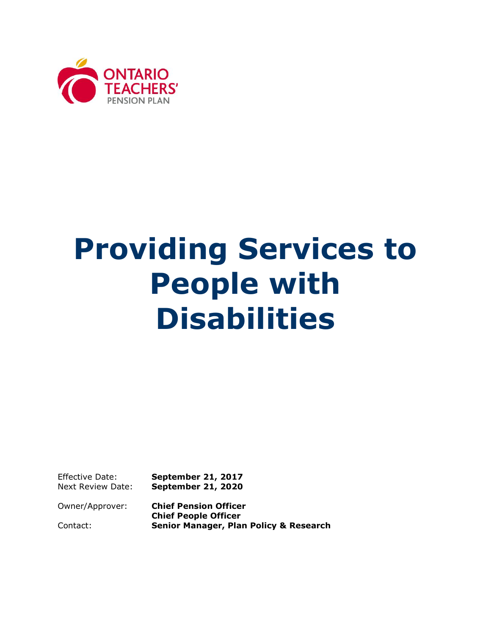

# **Providing Services to People with Disabilities**

Effective Date: **September 21, 2017**  Next Review Date: **September 21, 2020** 

Owner/Approver: **Chief Pension Officer Chief People Officer**  Contact: **Senior Manager, Plan Policy & Research**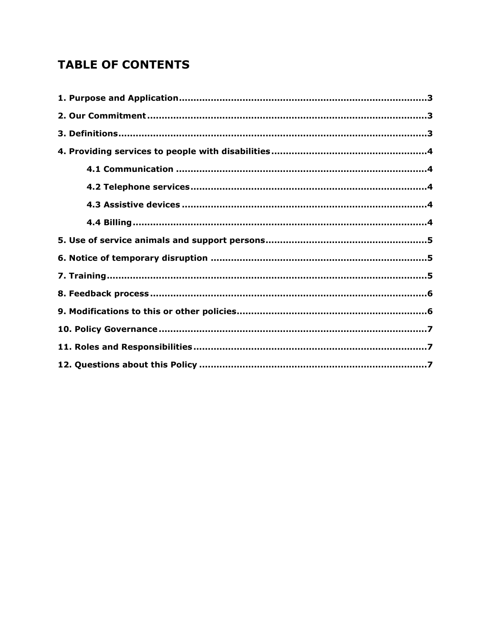# **TABLE OF CONTENTS**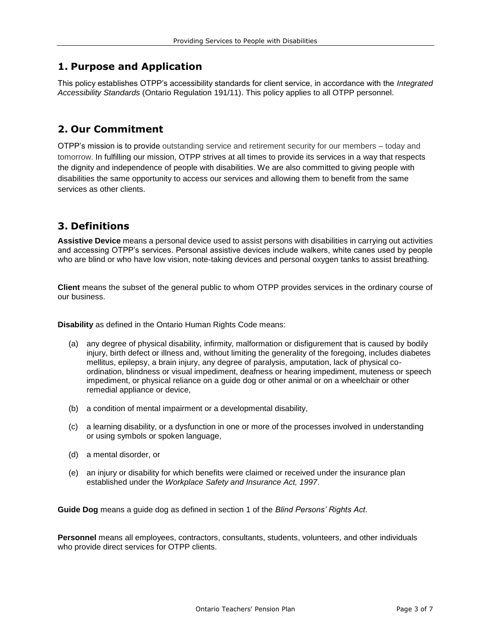# <span id="page-2-0"></span>**1. Purpose and Application**

This policy establishes OTPP's accessibility standards for client service, in accordance with the *Integrated Accessibility Standards* (Ontario Regulation 191/11). This policy applies to all OTPP personnel.

# <span id="page-2-1"></span>**2. Our Commitment**

 OTPP's mission is to provide outstanding service and retirement security for our members – today and tomorrow. In fulfilling our mission, OTPP strives at all times to provide its services in a way that respects the dignity and independence of people with disabilities. We are also committed to giving people with disabilities the same opportunity to access our services and allowing them to benefit from the same services as other clients.

# <span id="page-2-2"></span>**3. Definitions**

**Assistive Device** means a personal device used to assist persons with disabilities in carrying out activities and accessing OTPP's services. Personal assistive devices include walkers, white canes used by people who are blind or who have low vision, note-taking devices and personal oxygen tanks to assist breathing.

**Client** means the subset of the general public to whom OTPP provides services in the ordinary course of our business.

**Disability** as defined in the Ontario Human Rights Code means:

- (a) any degree of physical disability, infirmity, malformation or disfigurement that is caused by bodily injury, birth defect or illness and, without limiting the generality of the foregoing, includes diabetes mellitus, epilepsy, a brain injury, any degree of paralysis, amputation, lack of physical coordination, blindness or visual impediment, deafness or hearing impediment, muteness or speech impediment, or physical reliance on a guide dog or other animal or on a wheelchair or other remedial appliance or device,
- (b) a condition of mental impairment or a developmental disability,
- (c) a learning disability, or a dysfunction in one or more of the processes involved in understanding or using symbols or spoken language,
- (d) a mental disorder, or
- (e) an injury or disability for which benefits were claimed or received under the insurance plan established under the *Workplace Safety and Insurance Act, 1997*.

**Guide Dog** means a guide dog as defined in section 1 of the *Blind Persons' Rights Act*.

**Personnel** means all employees, contractors, consultants, students, volunteers, and other individuals who provide direct services for OTPP clients.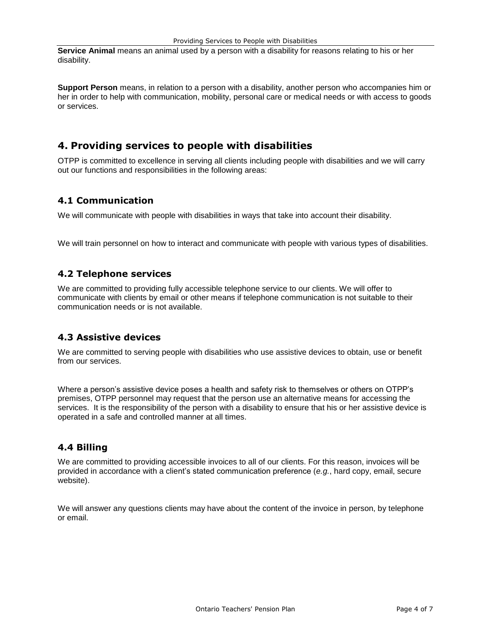**Service Animal** means an animal used by a person with a disability for reasons relating to his or her disability.

**Support Person** means, in relation to a person with a disability, another person who accompanies him or her in order to help with communication, mobility, personal care or medical needs or with access to goods or services.

# <span id="page-3-0"></span>**4. Providing services to people with disabilities**

OTPP is committed to excellence in serving all clients including people with disabilities and we will carry out our functions and responsibilities in the following areas:

#### <span id="page-3-1"></span>**4.1 Communication**

We will communicate with people with disabilities in ways that take into account their disability.

We will train personnel on how to interact and communicate with people with various types of disabilities.

#### <span id="page-3-2"></span>**4.2 Telephone services**

We are committed to providing fully accessible telephone service to our clients. We will offer to communicate with clients by email or other means if telephone communication is not suitable to their communication needs or is not available.

#### <span id="page-3-3"></span>**4.3 Assistive devices**

We are committed to serving people with disabilities who use assistive devices to obtain, use or benefit from our services.

 services. It is the responsibility of the person with a disability to ensure that his or her assistive device is operated in a safe and controlled manner at all times. Where a person's assistive device poses a health and safety risk to themselves or others on OTPP's premises, OTPP personnel may request that the person use an alternative means for accessing the

#### <span id="page-3-4"></span>**4.4 Billing**

We are committed to providing accessible invoices to all of our clients. For this reason, invoices will be provided in accordance with a client's stated communication preference (*e.g.*, hard copy, email, secure website).

We will answer any questions clients may have about the content of the invoice in person, by telephone or email.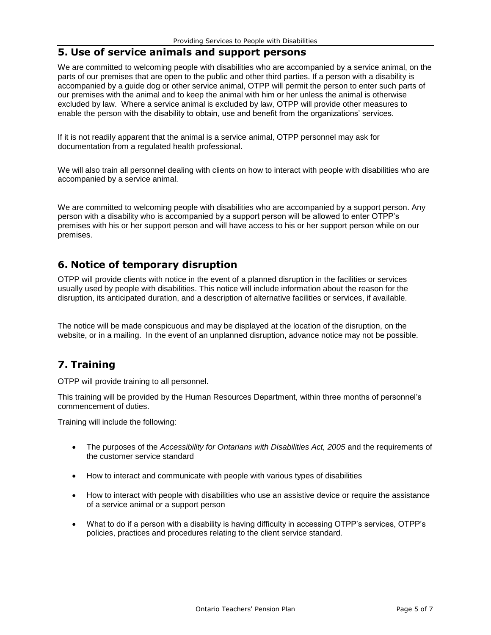#### <span id="page-4-0"></span>**5. Use of service animals and support persons**

 We are committed to welcoming people with disabilities who are accompanied by a service animal, on the excluded by law. Where a service animal is excluded by law, OTPP will provide other measures to enable the person with the disability to obtain, use and benefit from the organizations' services. parts of our premises that are open to the public and other third parties. If a person with a disability is accompanied by a guide dog or other service animal, OTPP will permit the person to enter such parts of our premises with the animal and to keep the animal with him or her unless the animal is otherwise

 If it is not readily apparent that the animal is a service animal, OTPP personnel may ask for documentation from a regulated health professional.

 We will also train all personnel dealing with clients on how to interact with people with disabilities who are accompanied by a service animal.

 We are committed to welcoming people with disabilities who are accompanied by a support person. Any person with a disability who is accompanied by a support person will be allowed to enter OTPP's premises with his or her support person and will have access to his or her support person while on our premises.

# <span id="page-4-1"></span>**6. Notice of temporary disruption**

 usually used by people with disabilities. This notice will include information about the reason for the disruption, its anticipated duration, and a description of alternative facilities or services, if available. OTPP will provide clients with notice in the event of a planned disruption in the facilities or services

 The notice will be made conspicuous and may be displayed at the location of the disruption, on the website, or in a mailing. In the event of an unplanned disruption, advance notice may not be possible.

# <span id="page-4-2"></span>**7. Training**

OTPP will provide training to all personnel.

This training will be provided by the Human Resources Department, within three months of personnel's commencement of duties.

Training will include the following:

- The purposes of the *Accessibility for Ontarians with Disabilities Act, 2005* and the requirements of the customer service standard
- How to interact and communicate with people with various types of disabilities
- How to interact with people with disabilities who use an assistive device or require the assistance of a service animal or a support person
- What to do if a person with a disability is having difficulty in accessing OTPP's services, OTPP's policies, practices and procedures relating to the client service standard.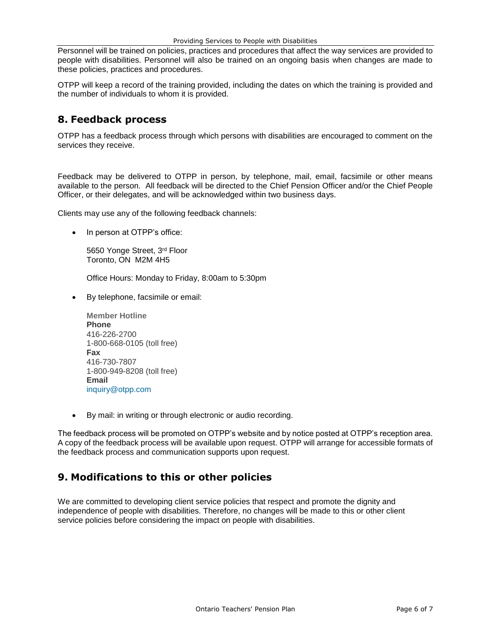Personnel will be trained on policies, practices and procedures that affect the way services are provided to people with disabilities. Personnel will also be trained on an ongoing basis when changes are made to these policies, practices and procedures.

 OTPP will keep a record of the training provided, including the dates on which the training is provided and the number of individuals to whom it is provided.

#### <span id="page-5-0"></span>**8. Feedback process**

 OTPP has a feedback process through which persons with disabilities are encouraged to comment on the services they receive.

 Feedback may be delivered to OTPP in person, by telephone, mail, email, facsimile or other means available to the person. All feedback will be directed to the Chief Pension Officer and/or the Chief People Officer, or their delegates, and will be acknowledged within two business days.

Clients may use any of the following feedback channels:

• In person at OTPP's office:

5650 Yonge Street, 3rd Floor Toronto, ON M2M 4H5

Office Hours: Monday to Friday, 8:00am to 5:30pm

By telephone, facsimile or email:

| <b>Member Hotline</b>      |
|----------------------------|
| <b>Phone</b>               |
| 416-226-2700               |
| 1-800-668-0105 (toll free) |
| Fax                        |
| 416-730-7807               |
| 1-800-949-8208 (toll free) |
| Email                      |
| inquiry@otpp.com           |

By mail: in writing or through electronic or audio recording.

The feedback process will be promoted on OTPP's website and by notice posted at OTPP's reception area. A copy of the feedback process will be available upon request. OTPP will arrange for accessible formats of the feedback process and communication supports upon request.

# <span id="page-5-1"></span>**9. Modifications to this or other policies**

<span id="page-5-2"></span> independence of people with disabilities. Therefore, no changes will be made to this or other client We are committed to developing client service policies that respect and promote the dignity and service policies before considering the impact on people with disabilities.